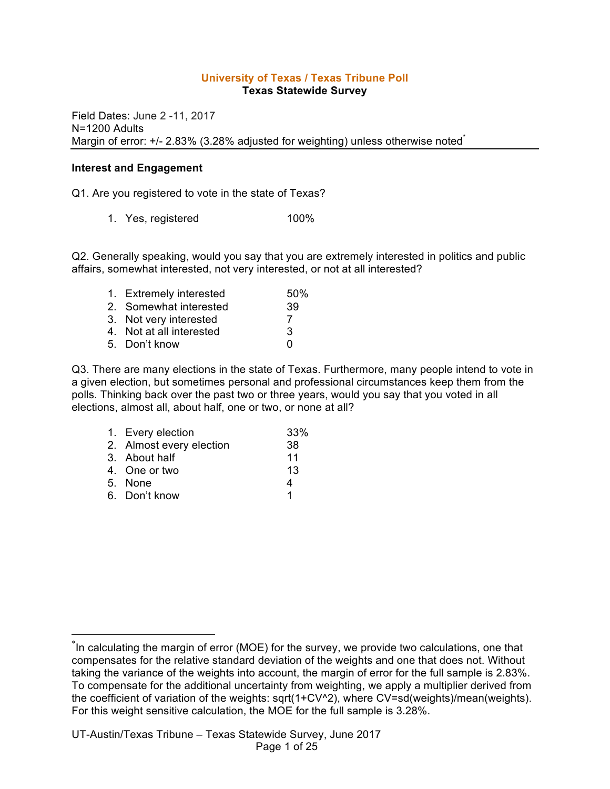#### **University of Texas / Texas Tribune Poll Texas Statewide Survey**

Field Dates: June 2 -11, 2017 N=1200 Adults Margin of error: +/- 2.83% (3.28% adjusted for weighting) unless otherwise noted<sup>\*</sup>

#### **Interest and Engagement**

Q1. Are you registered to vote in the state of Texas?

1. Yes, registered 100%

Q2. Generally speaking, would you say that you are extremely interested in politics and public affairs, somewhat interested, not very interested, or not at all interested?

| 1. Extremely interested  | .50% |
|--------------------------|------|
| 2. Somewhat interested   | 39   |
| 3. Not very interested   |      |
| 4. Not at all interested | 3    |
| 5. Don't know            | n    |
|                          |      |

Q3. There are many elections in the state of Texas. Furthermore, many people intend to vote in a given election, but sometimes personal and professional circumstances keep them from the polls. Thinking back over the past two or three years, would you say that you voted in all elections, almost all, about half, one or two, or none at all?

| 1. Every election        | 33% |
|--------------------------|-----|
| 2. Almost every election | 38  |
| 3. About half            | 11  |
| 4. One or two            | 13  |
| 5. None                  | 4   |
| 6. Don't know            | 1   |

 <sup>\*</sup> In calculating the margin of error (MOE) for the survey, we provide two calculations, one that compensates for the relative standard deviation of the weights and one that does not. Without taking the variance of the weights into account, the margin of error for the full sample is 2.83%. To compensate for the additional uncertainty from weighting, we apply a multiplier derived from the coefficient of variation of the weights: sqrt(1+CV^2), where CV=sd(weights)/mean(weights). For this weight sensitive calculation, the MOE for the full sample is 3.28%.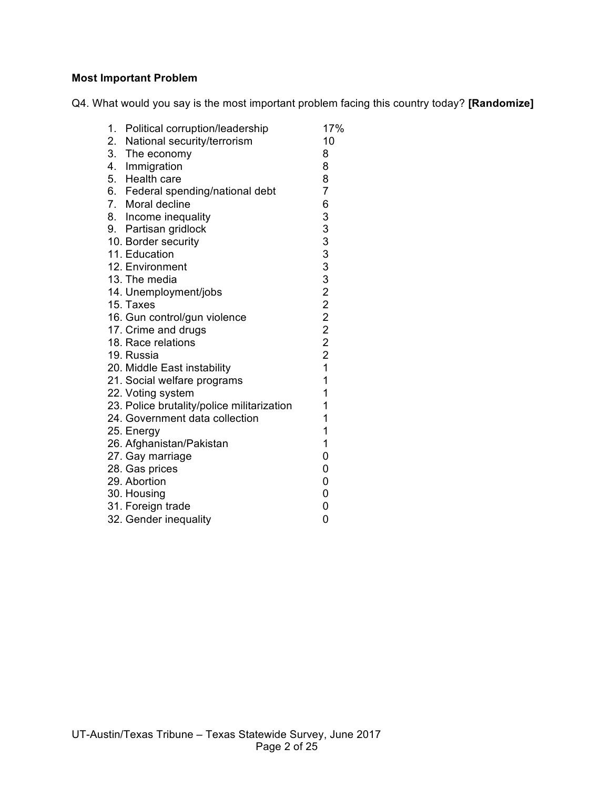# **Most Important Problem**

Q4. What would you say is the most important problem facing this country today? **[Randomize]**

| 1.<br>Political corruption/leadership      | 17%            |
|--------------------------------------------|----------------|
| 2. National security/terrorism             | 10             |
| 3. The economy                             | 8              |
| 4. Immigration                             | 8              |
| 5. Health care                             | 8              |
| 6. Federal spending/national debt          | $\overline{7}$ |
| 7. Moral decline                           | 6              |
| 8. Income inequality                       |                |
| 9. Partisan gridlock                       |                |
| 10. Border security                        |                |
| 11. Education                              |                |
| 12. Environment                            |                |
| 13. The media                              |                |
| 14. Unemployment/jobs                      | 33333222222    |
| 15. Taxes                                  |                |
| 16. Gun control/gun violence               |                |
| 17. Crime and drugs                        |                |
| 18. Race relations                         |                |
| 19. Russia                                 |                |
| 20. Middle East instability                | $\overline{1}$ |
| 21. Social welfare programs                | $\mathbf{1}$   |
| 22. Voting system                          | 1              |
| 23. Police brutality/police militarization | 1              |
| 24. Government data collection             | 1              |
| 25. Energy                                 | 1              |
| 26. Afghanistan/Pakistan                   | 1              |
| 27. Gay marriage                           | 0              |
| 28. Gas prices                             | 0              |
| 29. Abortion                               | 0              |
| 30. Housing                                | 0              |
| 31. Foreign trade                          | 0              |
| 32. Gender inequality                      | 0              |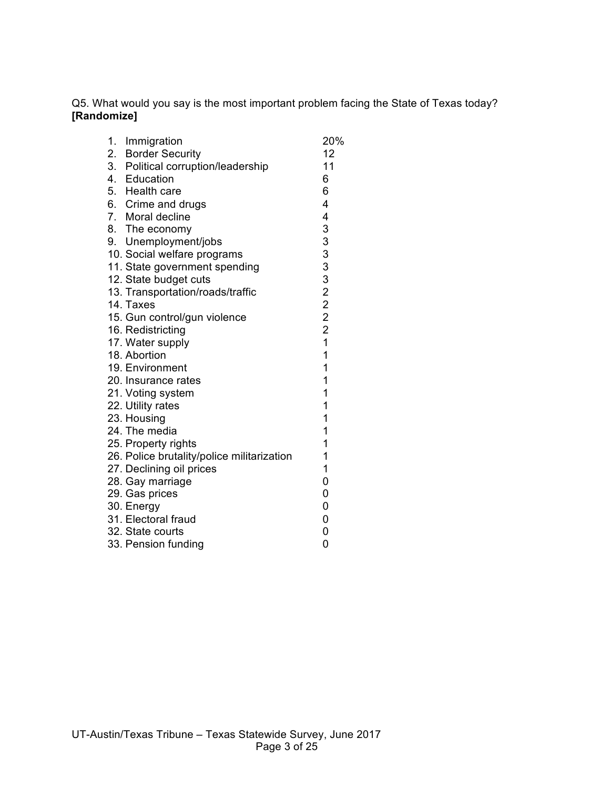Q5. What would you say is the most important problem facing the State of Texas today? **[Randomize]**

| 1.<br>Immigration                |                                            | 20%            |
|----------------------------------|--------------------------------------------|----------------|
| 2. Border Security               |                                            | 12             |
|                                  | 3. Political corruption/leadership         | 11             |
| 4. Education                     |                                            | 6              |
| 5. Health care                   |                                            | 6              |
| 6. Crime and drugs               |                                            | 4              |
| 7. Moral decline                 |                                            | 4              |
| 8. The economy                   |                                            |                |
| 9. Unemployment/jobs             |                                            |                |
| 10. Social welfare programs      |                                            |                |
|                                  | 11. State government spending              |                |
| 12. State budget cuts            |                                            |                |
| 13. Transportation/roads/traffic |                                            | 33332222       |
| 14. Taxes                        |                                            |                |
| 15. Gun control/gun violence     |                                            |                |
| 16. Redistricting                |                                            |                |
| 17. Water supply                 |                                            | $\overline{1}$ |
| 18. Abortion                     |                                            | $\mathbf{1}$   |
| 19. Environment                  |                                            | $\mathbf 1$    |
| 20. Insurance rates              |                                            | $\mathbf 1$    |
| 21. Voting system                |                                            | 1              |
| 22. Utility rates                |                                            | 1              |
| 23. Housing                      |                                            | 1              |
| 24. The media                    |                                            | 1              |
| 25. Property rights              |                                            | 1              |
|                                  | 26. Police brutality/police militarization | 1              |
| 27. Declining oil prices         |                                            | 1              |
| 28. Gay marriage                 |                                            | 0              |
| 29. Gas prices                   |                                            | 0              |
| 30. Energy                       |                                            | 0              |
| 31. Electoral fraud              |                                            | 0              |
| 32. State courts                 |                                            | 0              |
| 33. Pension funding              |                                            | 0              |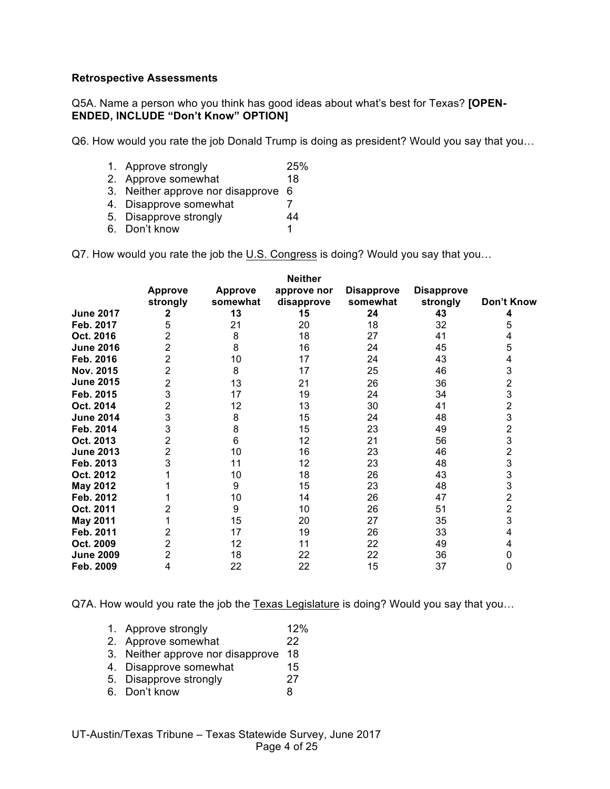#### **Retrospective Assessments**

Q5A. Name a person who you think has good ideas about what's best for Texas? **[OPEN-ENDED, INCLUDE "Don't Know" OPTION]**

Q6. How would you rate the job Donald Trump is doing as president? Would you say that you…

- 1. Approve strongly 25%
- 2. Approve somewhat 18
- 3. Neither approve nor disapprove 6
- 4. Disapprove somewhat 7
- 5. Disapprove strongly 44
- 6. Don't know 1

Q7. How would you rate the job the U.S. Congress is doing? Would you say that you...

|                  |                |                | <b>Neither</b> |                   |                   |                         |
|------------------|----------------|----------------|----------------|-------------------|-------------------|-------------------------|
|                  | <b>Approve</b> | <b>Approve</b> | approve nor    | <b>Disapprove</b> | <b>Disapprove</b> |                         |
|                  | strongly       | somewhat       | disapprove     | somewhat          | strongly          | Don't Know              |
| <b>June 2017</b> | 2              | 13             | 15             | 24                | 43                | 4                       |
| Feb. 2017        | 5              | 21             | 20             | 18                | 32                | 5                       |
| Oct. 2016        | 2              | 8              | 18             | 27                | 41                | 4                       |
| <b>June 2016</b> | 2              | 8              | 16             | 24                | 45                | 5                       |
| Feb. 2016        | 2              | 10             | 17             | 24                | 43                | 4                       |
| Nov. 2015        | 2              | 8              | 17             | 25                | 46                | 3                       |
| <b>June 2015</b> | 2              | 13             | 21             | 26                | 36                | $\overline{\mathbf{c}}$ |
| Feb. 2015        | 3              | 17             | 19             | 24                | 34                | $\frac{3}{2}$           |
| Oct. 2014        | $\overline{2}$ | 12             | 13             | 30                | 41                |                         |
| <b>June 2014</b> | 3              | 8              | 15             | 24                | 48                | 3                       |
| Feb. 2014        | 3              | 8              | 15             | 23                | 49                | $\overline{2}$          |
| Oct. 2013        | 2              | $6\phantom{1}$ | 12             | 21                | 56                | 3                       |
| <b>June 2013</b> | 2              | 10             | 16             | 23                | 46                | $\frac{2}{3}$           |
| Feb. 2013        | 3              | 11             | 12             | 23                | 48                |                         |
| Oct. 2012        |                | 10             | 18             | 26                | 43                | 3                       |
| <b>May 2012</b>  |                | 9              | 15             | 23                | 48                | 3                       |
| Feb. 2012        |                | 10             | 14             | 26                | 47                | $\overline{2}$          |
| Oct. 2011        |                | 9              | 10             | 26                | 51                | $\overline{2}$          |
| <b>May 2011</b>  |                | 15             | 20             | 27                | 35                | 3                       |
| Feb. 2011        | 2              | 17             | 19             | 26                | 33                | 4                       |
| Oct. 2009        | 2              | 12             | 11             | 22                | 49                | 4                       |
| <b>June 2009</b> | 2              | 18             | 22             | 22                | 36                | 0                       |
| Feb. 2009        | 4              | 22             | 22             | 15                | 37                | 0                       |

Q7A. How would you rate the job the Texas Legislature is doing? Would you say that you…

- 1. Approve strongly 12%
- 2. Approve somewhat 22
- 3. Neither approve nor disapprove 18
- 4. Disapprove somewhat 15<br>5. Disapprove strongly 127
- 5. Disapprove strongly
- 6. Don't know 8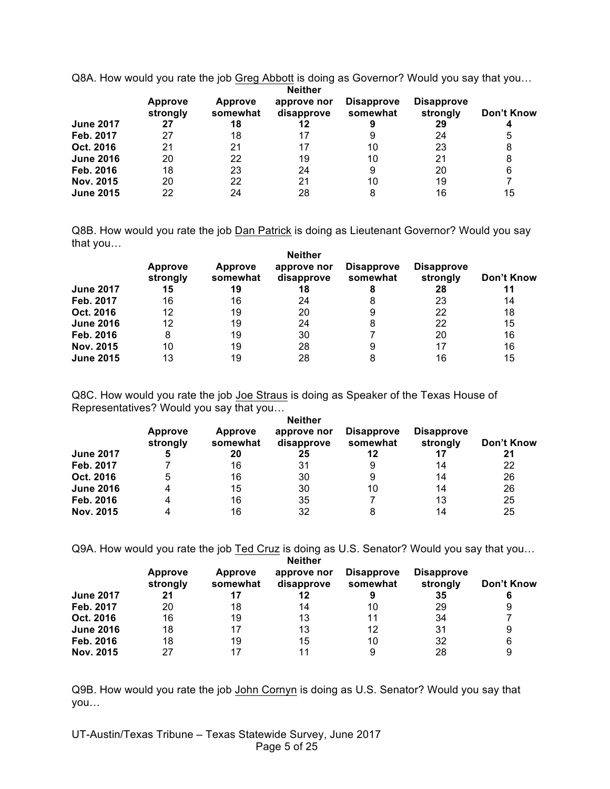Q8A. How would you rate the job Greg Abbott is doing as Governor? Would you say that you…

|                  | <b>Approve</b><br>strongly | <b>Approve</b><br>somewhat | <b>Neither</b><br>approve nor<br>disapprove | <b>Disapprove</b><br>somewhat | <b>Disapprove</b><br>strongly | Don't Know |
|------------------|----------------------------|----------------------------|---------------------------------------------|-------------------------------|-------------------------------|------------|
| <b>June 2017</b> | 27                         | 18                         | 12                                          |                               | 29                            |            |
| Feb. 2017        | 27                         | 18                         | 17                                          | 9                             | 24                            | 5          |
| Oct. 2016        | 21                         | 21                         | 17                                          | 10                            | 23                            | 8          |
| <b>June 2016</b> | 20                         | 22                         | 19                                          | 10                            | 21                            | 8          |
| Feb. 2016        | 18                         | 23                         | 24                                          | 9                             | 20                            | 6          |
| Nov. 2015        | 20                         | 22                         | 21                                          | 10                            | 19                            |            |
| <b>June 2015</b> | 22                         | 24                         | 28                                          | 8                             | 16                            | 15         |

Q8B. How would you rate the job Dan Patrick is doing as Lieutenant Governor? Would you say that you…

|                  | <b>Approve</b><br>strongly | <b>Approve</b><br>somewhat | <b>Neither</b><br>approve nor<br>disapprove | <b>Disapprove</b><br>somewhat | <b>Disapprove</b><br>strongly | Don't Know |
|------------------|----------------------------|----------------------------|---------------------------------------------|-------------------------------|-------------------------------|------------|
| <b>June 2017</b> | 15                         | 19                         | 18                                          | 8                             | 28                            | 11         |
| Feb. 2017        | 16                         | 16                         | 24                                          | 8                             | 23                            | 14         |
| Oct. 2016        | 12                         | 19                         | 20                                          | 9                             | 22                            | 18         |
| <b>June 2016</b> | 12                         | 19                         | 24                                          | 8                             | 22                            | 15         |
| Feb. 2016        | 8                          | 19                         | 30                                          |                               | 20                            | 16         |
| Nov. 2015        | 10                         | 19                         | 28                                          | 9                             | 17                            | 16         |
| <b>June 2015</b> | 13                         | 19                         | 28                                          | 8                             | 16                            | 15         |

Q8C. How would you rate the job Joe Straus is doing as Speaker of the Texas House of Representatives? Would you say that you… **Neither** 

| <b>June 2017</b> | <b>Approve</b><br>strongly<br>5 | Approve<br>somewhat<br>20 | neither<br>approve nor<br>disapprove<br>25 | <b>Disapprove</b><br>somewhat<br>12 | <b>Disapprove</b><br>strongly<br>17 | Don't Know<br>21 |
|------------------|---------------------------------|---------------------------|--------------------------------------------|-------------------------------------|-------------------------------------|------------------|
|                  |                                 |                           |                                            |                                     |                                     |                  |
| Feb. 2017        |                                 | 16                        | 31                                         | 9                                   | 14                                  | 22               |
| Oct. 2016        | 5                               | 16                        | 30                                         | 9                                   | 14                                  | 26               |
| <b>June 2016</b> | 4                               | 15                        | 30                                         | 10                                  | 14                                  | 26               |
| Feb. 2016        | 4                               | 16                        | 35                                         |                                     | 13                                  | 25               |
| Nov. 2015        | 4                               | 16                        | 32                                         | 8                                   | 14                                  | 25               |
|                  |                                 |                           |                                            |                                     |                                     |                  |

Q9A. How would you rate the job Ted Cruz is doing as U.S. Senator? Would you say that you...

|                  | <b>Neither</b>             |                            |                           |                               |                               |            |  |  |
|------------------|----------------------------|----------------------------|---------------------------|-------------------------------|-------------------------------|------------|--|--|
|                  | <b>Approve</b><br>strongly | <b>Approve</b><br>somewhat | approve nor<br>disapprove | <b>Disapprove</b><br>somewhat | <b>Disapprove</b><br>strongly | Don't Know |  |  |
| <b>June 2017</b> | 21                         | 17                         | 12                        |                               | 35                            | 6          |  |  |
| Feb. 2017        | 20                         | 18                         | 14                        | 10                            | 29                            | 9          |  |  |
| Oct. 2016        | 16                         | 19                         | 13                        | 11                            | 34                            |            |  |  |
| <b>June 2016</b> | 18                         | 17                         | 13                        | 12                            | 31                            | 9          |  |  |
| Feb. 2016        | 18                         | 19                         | 15                        | 10                            | 32                            | 6          |  |  |
| Nov. 2015        | 27                         | 17                         | 11                        | 9                             | 28                            | 9          |  |  |

Q9B. How would you rate the job John Cornyn is doing as U.S. Senator? Would you say that you…

UT-Austin/Texas Tribune – Texas Statewide Survey, June 2017 Page 5 of 25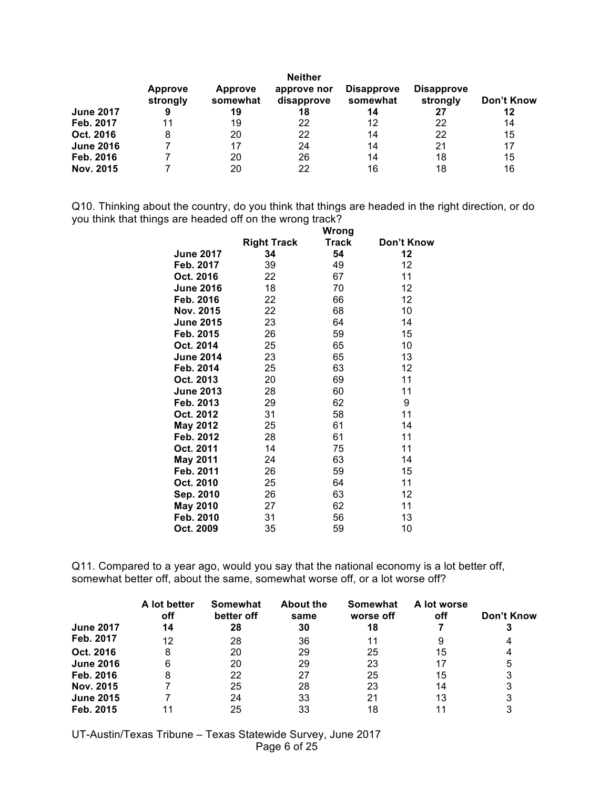|                  | <b>Neither</b>             |                            |                           |                               |                               |            |  |
|------------------|----------------------------|----------------------------|---------------------------|-------------------------------|-------------------------------|------------|--|
|                  | <b>Approve</b><br>strongly | <b>Approve</b><br>somewhat | approve nor<br>disapprove | <b>Disapprove</b><br>somewhat | <b>Disapprove</b><br>strongly | Don't Know |  |
| <b>June 2017</b> | 9                          | 19                         | 18                        | 14                            | 27                            | 12         |  |
| Feb. 2017        | 11                         | 19                         | 22                        | 12                            | 22                            | 14         |  |
| Oct. 2016        | 8                          | 20                         | 22                        | 14                            | 22                            | 15         |  |
| <b>June 2016</b> |                            | 17                         | 24                        | 14                            | 21                            | 17         |  |
| Feb. 2016        |                            | 20                         | 26                        | 14                            | 18                            | 15         |  |
| Nov. 2015        |                            | 20                         | 22                        | 16                            | 18                            | 16         |  |

Q10. Thinking about the country, do you think that things are headed in the right direction, or do you think that things are headed off on the wrong track?

|                  | Wrong              |              |            |  |  |
|------------------|--------------------|--------------|------------|--|--|
|                  | <b>Right Track</b> | <b>Track</b> | Don't Know |  |  |
| <b>June 2017</b> | 34                 | 54           | 12         |  |  |
| Feb. 2017        | 39                 | 49           | 12         |  |  |
| Oct. 2016        | 22                 | 67           | 11         |  |  |
| <b>June 2016</b> | 18                 | 70           | 12         |  |  |
| Feb. 2016        | 22                 | 66           | 12         |  |  |
| Nov. 2015        | 22                 | 68           | 10         |  |  |
| <b>June 2015</b> | 23                 | 64           | 14         |  |  |
| Feb. 2015        | 26                 | 59           | 15         |  |  |
| Oct. 2014        | 25                 | 65           | 10         |  |  |
| <b>June 2014</b> | 23                 | 65           | 13         |  |  |
| Feb. 2014        | 25                 | 63           | 12         |  |  |
| Oct. 2013        | 20                 | 69           | 11         |  |  |
| <b>June 2013</b> | 28                 | 60           | 11         |  |  |
| Feb. 2013        | 29                 | 62           | 9          |  |  |
| Oct. 2012        | 31                 | 58           | 11         |  |  |
| May 2012         | 25                 | 61           | 14         |  |  |
| Feb. 2012        | 28                 | 61           | 11         |  |  |
| Oct. 2011        | 14                 | 75           | 11         |  |  |
| <b>May 2011</b>  | 24                 | 63           | 14         |  |  |
| Feb. 2011        | 26                 | 59           | 15         |  |  |
| Oct. 2010        | 25                 | 64           | 11         |  |  |
| Sep. 2010        | 26                 | 63           | 12         |  |  |
| <b>May 2010</b>  | 27                 | 62           | 11         |  |  |
| Feb. 2010        | 31                 | 56           | 13         |  |  |
| Oct. 2009        | 35                 | 59           | 10         |  |  |

Q11. Compared to a year ago, would you say that the national economy is a lot better off, somewhat better off, about the same, somewhat worse off, or a lot worse off?

|                  | A lot better<br>off | Somewhat<br>better off | <b>About the</b><br>same | Somewhat<br>worse off | A lot worse<br>off | Don't Know |
|------------------|---------------------|------------------------|--------------------------|-----------------------|--------------------|------------|
| <b>June 2017</b> | 14                  | 28                     | 30                       | 18                    |                    |            |
| Feb. 2017        | 12                  | 28                     | 36                       | 11                    |                    |            |
| Oct. 2016        | 8                   | 20                     | 29                       | 25                    | 15                 |            |
| <b>June 2016</b> | 6                   | 20                     | 29                       | 23                    |                    | 5          |
| Feb. 2016        |                     | 22                     | 27                       | 25                    | 15                 | 3          |
| Nov. 2015        |                     | 25                     | 28                       | 23                    | 14                 | 3          |
| <b>June 2015</b> |                     | 24                     | 33                       | 21                    | 13                 |            |
| Feb. 2015        |                     | 25                     | 33                       | 18                    |                    |            |

UT-Austin/Texas Tribune – Texas Statewide Survey, June 2017 Page 6 of 25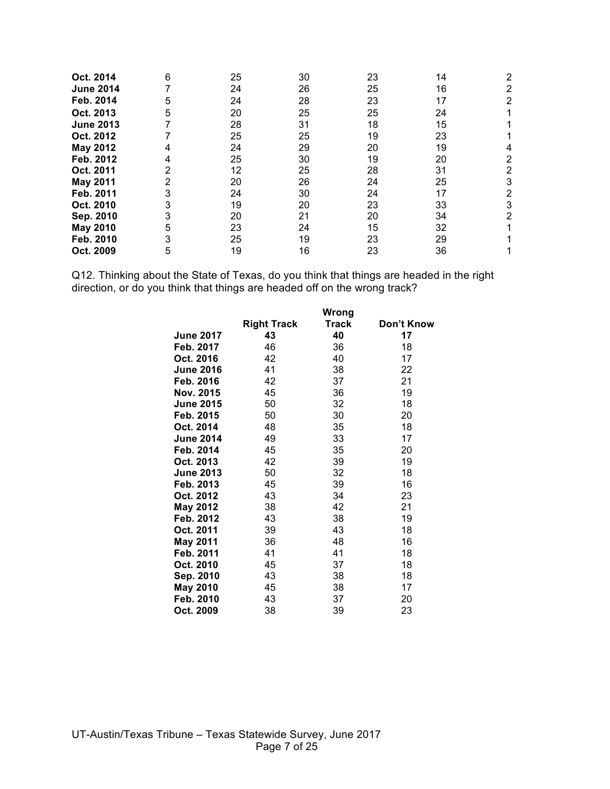| Oct. 2014        | 6 | 25 | 30 | 23 | 14 | 2 |
|------------------|---|----|----|----|----|---|
| <b>June 2014</b> |   | 24 | 26 | 25 | 16 | 2 |
| Feb. 2014        | 5 | 24 | 28 | 23 | 17 | 2 |
| Oct. 2013        | 5 | 20 | 25 | 25 | 24 |   |
| <b>June 2013</b> |   | 28 | 31 | 18 | 15 |   |
| Oct. 2012        |   | 25 | 25 | 19 | 23 |   |
| May 2012         | 4 | 24 | 29 | 20 | 19 |   |
| Feb. 2012        | 4 | 25 | 30 | 19 | 20 | 2 |
| Oct. 2011        | 2 | 12 | 25 | 28 | 31 | 2 |
| <b>May 2011</b>  | 2 | 20 | 26 | 24 | 25 | 3 |
| Feb. 2011        | 3 | 24 | 30 | 24 | 17 | 2 |
| Oct. 2010        | 3 | 19 | 20 | 23 | 33 | 3 |
| Sep. 2010        | 3 | 20 | 21 | 20 | 34 | 2 |
| <b>May 2010</b>  | 5 | 23 | 24 | 15 | 32 |   |
| Feb. 2010        | 3 | 25 | 19 | 23 | 29 |   |
| Oct. 2009        | 5 | 19 | 16 | 23 | 36 |   |

Q12. Thinking about the State of Texas, do you think that things are headed in the right direction, or do you think that things are headed off on the wrong track?

|                  |                    | Wrong |            |
|------------------|--------------------|-------|------------|
|                  | <b>Right Track</b> | Track | Don't Know |
| <b>June 2017</b> | 43                 | 40    | 17         |
| Feb. 2017        | 46                 | 36    | 18         |
| Oct. 2016        | 42                 | 40    | 17         |
| <b>June 2016</b> | 41                 | 38    | 22         |
| Feb. 2016        | 42                 | 37    | 21         |
| Nov. 2015        | 45                 | 36    | 19         |
| <b>June 2015</b> | 50                 | 32    | 18         |
| Feb. 2015        | 50                 | 30    | 20         |
| Oct. 2014        | 48                 | 35    | 18         |
| <b>June 2014</b> | 49                 | 33    | 17         |
| Feb. 2014        | 45                 | 35    | 20         |
| Oct. 2013        | 42                 | 39    | 19         |
| <b>June 2013</b> | 50                 | 32    | 18         |
| Feb. 2013        | 45                 | 39    | 16         |
| Oct. 2012        | 43                 | 34    | 23         |
| <b>May 2012</b>  | 38                 | 42    | 21         |
| Feb. 2012        | 43                 | 38    | 19         |
| Oct. 2011        | 39                 | 43    | 18         |
| <b>May 2011</b>  | 36                 | 48    | 16         |
| Feb. 2011        | 41                 | 41    | 18         |
| Oct. 2010        | 45                 | 37    | 18         |
| Sep. 2010        | 43                 | 38    | 18         |
| <b>May 2010</b>  | 45                 | 38    | 17         |
| Feb. 2010        | 43                 | 37    | 20         |
| Oct. 2009        | 38                 | 39    | 23         |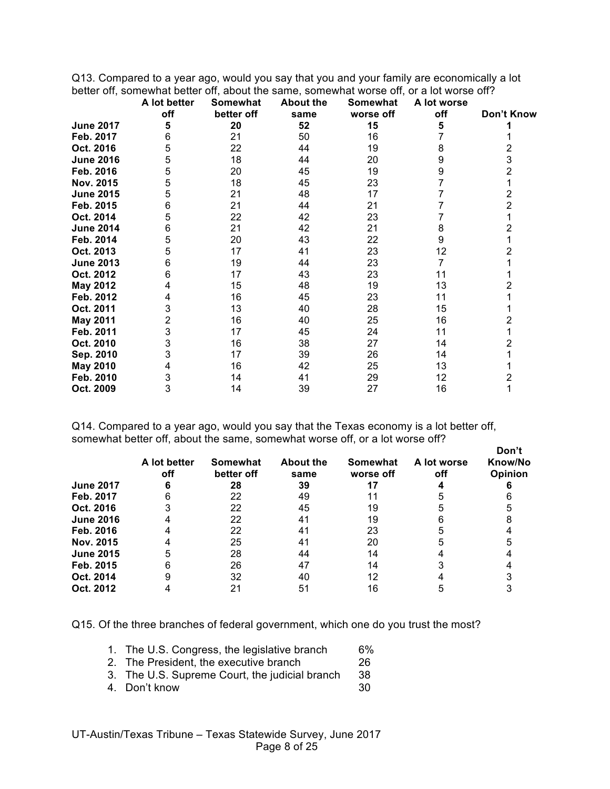Q13. Compared to a year ago, would you say that you and your family are economically a lot better off, somewhat better off, about the same, somewhat worse off, or a lot worse off?

|                  | A lot better<br>off | Somewhat<br>better off | <b>About the</b><br>same | Somewhat<br>worse off | A lot worse<br>off | Don't Know     |
|------------------|---------------------|------------------------|--------------------------|-----------------------|--------------------|----------------|
| <b>June 2017</b> | 5                   | 20                     | 52                       | 15                    | 5                  |                |
| Feb. 2017        | 6                   | 21                     | 50                       | 16                    |                    |                |
| Oct. 2016        | 5                   | 22                     | 44                       | 19                    | 8                  | 2              |
| <b>June 2016</b> | 5                   | 18                     | 44                       | 20                    | 9                  | 3              |
| Feb. 2016        | 5                   | 20                     | 45                       | 19                    | 9                  | 2              |
| Nov. 2015        | 5                   | 18                     | 45                       | 23                    |                    |                |
| <b>June 2015</b> | 5                   | 21                     | 48                       | 17                    |                    | 2              |
| Feb. 2015        | 6                   | 21                     | 44                       | 21                    |                    | $\overline{2}$ |
| Oct. 2014        | 5                   | 22                     | 42                       | 23                    |                    |                |
| <b>June 2014</b> | 6                   | 21                     | 42                       | 21                    | 8                  | 2              |
| Feb. 2014        | 5                   | 20                     | 43                       | 22                    | 9                  |                |
| Oct. 2013        | 5                   | 17                     | 41                       | 23                    | 12                 |                |
| <b>June 2013</b> | 6                   | 19                     | 44                       | 23                    |                    |                |
| Oct. 2012        | 6                   | 17                     | 43                       | 23                    | 11                 |                |
| May 2012         | 4                   | 15                     | 48                       | 19                    | 13                 | 2              |
| Feb. 2012        | 4                   | 16                     | 45                       | 23                    | 11                 |                |
| Oct. 2011        | 3                   | 13                     | 40                       | 28                    | 15                 |                |
| <b>May 2011</b>  | 2                   | 16                     | 40                       | 25                    | 16                 | 2              |
| Feb. 2011        | 3                   | 17                     | 45                       | 24                    | 11                 |                |
| Oct. 2010        | 3                   | 16                     | 38                       | 27                    | 14                 | 2              |
| Sep. 2010        | 3                   | 17                     | 39                       | 26                    | 14                 |                |
| May 2010         | 4                   | 16                     | 42                       | 25                    | 13                 |                |
| Feb. 2010        | 3                   | 14                     | 41                       | 29                    | 12                 | 2              |
| Oct. 2009        | 3                   | 14                     | 39                       | 27                    | 16                 |                |

Q14. Compared to a year ago, would you say that the Texas economy is a lot better off, somewhat better off, about the same, somewhat worse off, or a lot worse off?

|                  | A lot better<br>off | Somewhat<br>better off | <b>About the</b><br>same | Somewhat<br>worse off | A lot worse<br>off | Don't<br>Know/No<br>Opinion |
|------------------|---------------------|------------------------|--------------------------|-----------------------|--------------------|-----------------------------|
| <b>June 2017</b> |                     | 28                     | 39                       |                       |                    |                             |
| Feb. 2017        |                     | 22                     | 49                       |                       |                    |                             |
| Oct. 2016        |                     | 22                     | 45                       | 19                    |                    |                             |
| <b>June 2016</b> |                     | 22                     | 41                       | 19                    |                    |                             |
| Feb. 2016        |                     | 22                     |                          | 23                    |                    |                             |
| Nov. 2015        |                     | 25                     | 4 <sup>′</sup>           | 20                    |                    |                             |
| <b>June 2015</b> |                     | 28                     | 44                       | 14                    |                    |                             |
| Feb. 2015        |                     | 26                     | 47                       | 14                    |                    |                             |
| Oct. 2014        |                     | 32                     | 40                       |                       |                    |                             |
| Oct. 2012        |                     | 21                     | 5.                       | 16                    |                    |                             |

Q15. Of the three branches of federal government, which one do you trust the most?

- 1. The U.S. Congress, the legislative branch 6%
- 2. The President, the executive branch 26
- 3. The U.S. Supreme Court, the judicial branch 38
- 4. Don't know 30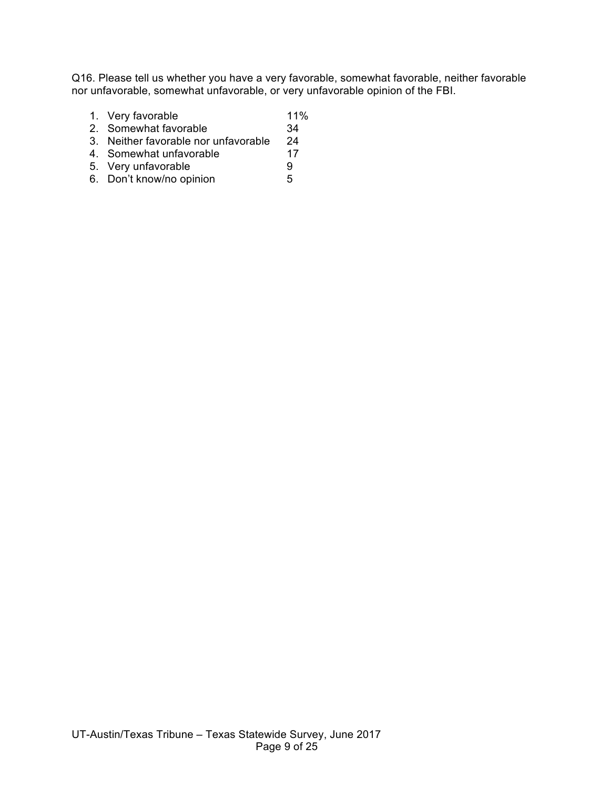Q16. Please tell us whether you have a very favorable, somewhat favorable, neither favorable nor unfavorable, somewhat unfavorable, or very unfavorable opinion of the FBI.

- 1. Very favorable 11%
- 2. Somewhat favorable 34
- 3. Neither favorable nor unfavorable 24
- 4. Somewhat unfavorable 17
- 
- 5. Very unfavorable <br>6. Don't know/no opinion 5 6. Don't know/no opinion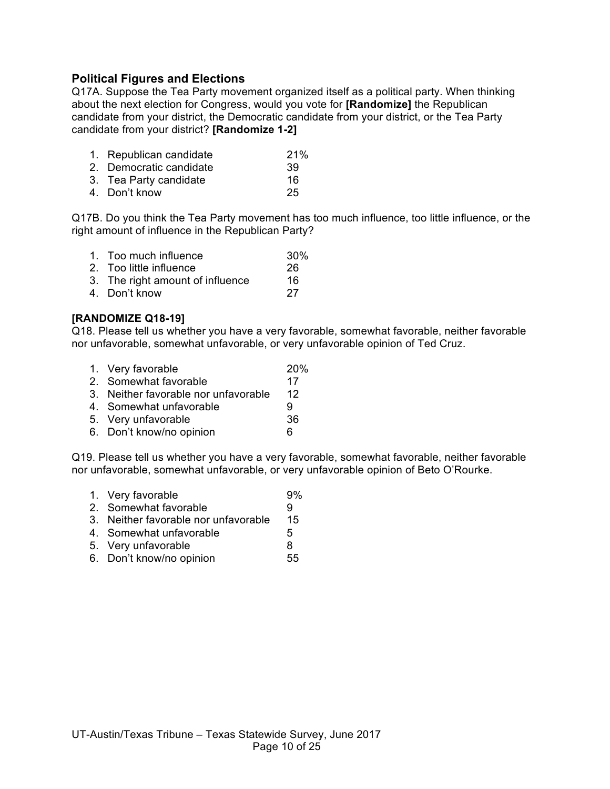# **Political Figures and Elections**

Q17A. Suppose the Tea Party movement organized itself as a political party. When thinking about the next election for Congress, would you vote for **[Randomize]** the Republican candidate from your district, the Democratic candidate from your district, or the Tea Party candidate from your district? **[Randomize 1-2]**

- 1. Republican candidate 21%
- 2. Democratic candidate 39
- 3. Tea Party candidate 16
- 4. Don't know 25

Q17B. Do you think the Tea Party movement has too much influence, too little influence, or the right amount of influence in the Republican Party?

- 1. Too much influence 30% 2. Too little influence 26
- 3. The right amount of influence 16
- 4. Don't know 27

#### **[RANDOMIZE Q18-19]**

Q18. Please tell us whether you have a very favorable, somewhat favorable, neither favorable nor unfavorable, somewhat unfavorable, or very unfavorable opinion of Ted Cruz.

- 1. Very favorable 20%
- 2. Somewhat favorable 17
- 3. Neither favorable nor unfavorable 12
- 4. Somewhat unfavorable 9
- 5. Very unfavorable 36
- 6. Don't know/no opinion 6

Q19. Please tell us whether you have a very favorable, somewhat favorable, neither favorable nor unfavorable, somewhat unfavorable, or very unfavorable opinion of Beto O'Rourke.

- 1. Very favorable 9%
- 2. Somewhat favorable 9
- 3. Neither favorable nor unfavorable 15
- 4. Somewhat unfavorable  $\overline{5}$
- 5. Very unfavorable 8
- 6. Don't know/no opinion 55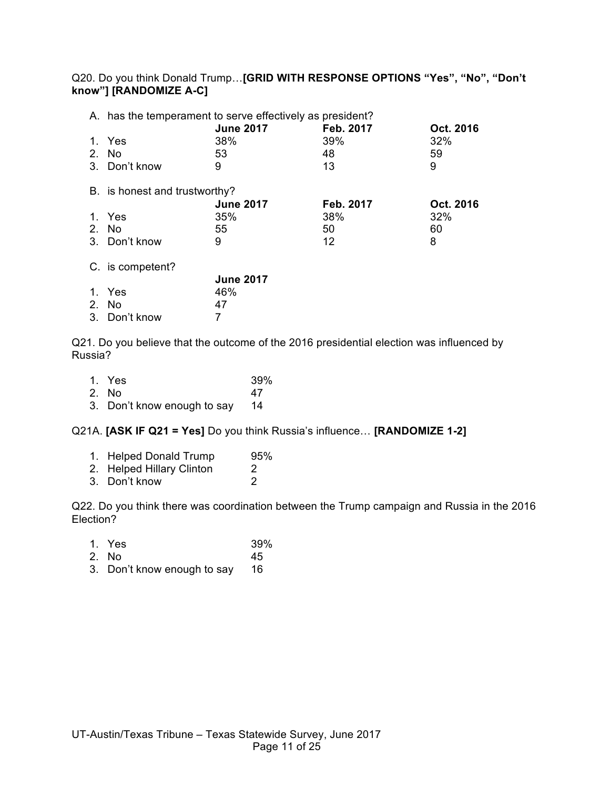Q20. Do you think Donald Trump…**[GRID WITH RESPONSE OPTIONS "Yes", "No", "Don't know"] [RANDOMIZE A-C]**

|                | A. has the temperament to serve effectively as president? |                  |           |           |  |
|----------------|-----------------------------------------------------------|------------------|-----------|-----------|--|
|                |                                                           | <b>June 2017</b> | Feb. 2017 | Oct. 2016 |  |
|                | 1. Yes                                                    | 38%              | 39%       | 32%       |  |
| $2_{-}$        | No.                                                       | 53               | 48        | 59        |  |
|                | 3. Don't know                                             | 9                | 13        | 9         |  |
|                | B. is honest and trustworthy?                             |                  |           |           |  |
|                |                                                           | <b>June 2017</b> | Feb. 2017 | Oct. 2016 |  |
|                | 1. Yes                                                    | 35%              | 38%       | 32%       |  |
| 2 <sub>1</sub> | No.                                                       | 55               | 50        | 60        |  |
|                | 3. Don't know                                             | 9                | 12        | 8         |  |
|                | C. is competent?                                          |                  |           |           |  |
|                |                                                           | <b>June 2017</b> |           |           |  |
|                | 1. Yes                                                    | 46%              |           |           |  |
| $2_{-}$        | No.                                                       | 47               |           |           |  |
|                | 3. Don't know                                             | 7                |           |           |  |

Q21. Do you believe that the outcome of the 2016 presidential election was influenced by Russia?

| 1. Yes                      | 39% |
|-----------------------------|-----|
| 2. No.                      | 47  |
| 3. Don't know enough to say | -14 |

Q21A. **[ASK IF Q21 = Yes]** Do you think Russia's influence… **[RANDOMIZE 1-2]**

| 1. Helped Donald Trump    | 95% |
|---------------------------|-----|
| 2. Helped Hillary Clinton | 2   |
| 3. Don't know             | 2   |

Q22. Do you think there was coordination between the Trump campaign and Russia in the 2016 Election?

| 1. Yes | 39% |
|--------|-----|
|        |     |

- 2. No 45
- 3. Don't know enough to say 16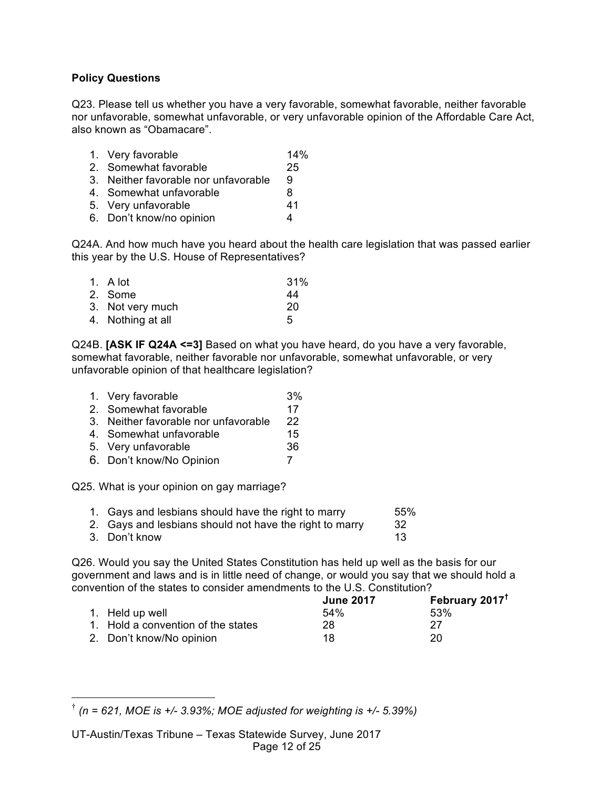#### **Policy Questions**

Q23. Please tell us whether you have a very favorable, somewhat favorable, neither favorable nor unfavorable, somewhat unfavorable, or very unfavorable opinion of the Affordable Care Act, also known as "Obamacare".

| 14%<br>1. Very favorable |
|--------------------------|
|--------------------------|

- 2. Somewhat favorable 25
- 3. Neither favorable nor unfavorable 9
- 4. Somewhat unfavorable and the 8
- 5. Very unfavorable 41
- 6. Don't know/no opinion 4

Q24A. And how much have you heard about the health care legislation that was passed earlier this year by the U.S. House of Representatives?

| 1. $A$ lot        | 31% |
|-------------------|-----|
| 2. Some           | 44  |
| 3. Not very much  | 20  |
| 4. Nothing at all | 5   |

Q24B. **[ASK IF Q24A <=3]** Based on what you have heard, do you have a very favorable, somewhat favorable, neither favorable nor unfavorable, somewhat unfavorable, or very unfavorable opinion of that healthcare legislation?

- 1. Very favorable 3% 2. Somewhat favorable 17 3. Neither favorable nor unfavorable 22 4. Somewhat unfavorable 15 5. Very unfavorable 36
- 6. Don't know/No Opinion 7

Q25. What is your opinion on gay marriage?

| 1. Gays and lesbians should have the right to marry     | 55% |
|---------------------------------------------------------|-----|
| 2. Gays and lesbians should not have the right to marry | -32 |

3. Don't know 13

Q26. Would you say the United States Constitution has held up well as the basis for our government and laws and is in little need of change, or would you say that we should hold a convention of the states to consider amendments to the U.S. Constitution?

|                                    | <b>June 2017</b> | February 2017 <sup>t</sup> |
|------------------------------------|------------------|----------------------------|
| 1. Held up well                    | 54%              | 53%                        |
| 1. Hold a convention of the states | 28               | 27                         |
| 2. Don't know/No opinion           | 18               | 20                         |

 <sup>†</sup> *(n = 621, MOE is +/- 3.93%; MOE adjusted for weighting is +/- 5.39%)*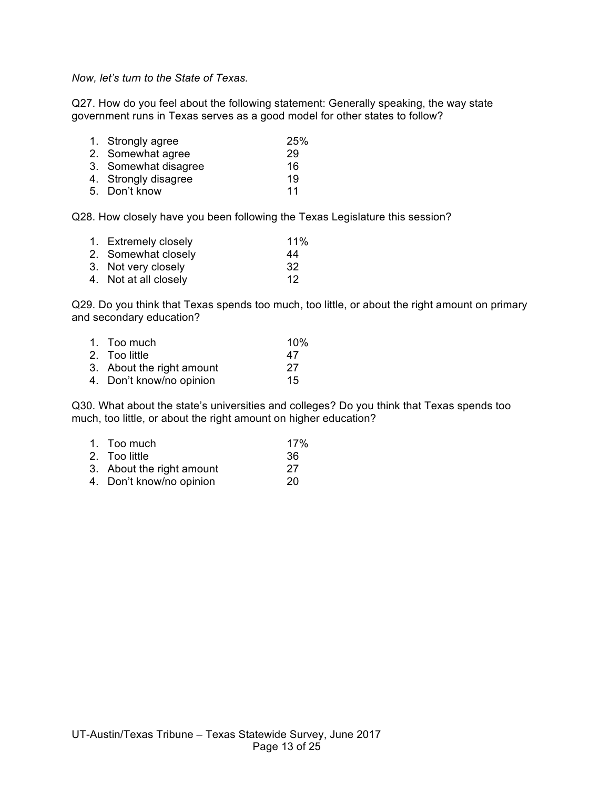*Now, let's turn to the State of Texas.*

Q27. How do you feel about the following statement: Generally speaking, the way state government runs in Texas serves as a good model for other states to follow?

| 1. Strongly agree    | 25% |
|----------------------|-----|
| 2. Somewhat agree    | 29  |
| 3. Somewhat disagree | 16  |
| 4. Strongly disagree | 19  |
| 5. Don't know        | 11  |

Q28. How closely have you been following the Texas Legislature this session?

| 1. Extremely closely  | 11% |
|-----------------------|-----|
| 2. Somewhat closely   | 44  |
| 3. Not very closely   | -32 |
| 4. Not at all closely | 12  |

Q29. Do you think that Texas spends too much, too little, or about the right amount on primary and secondary education?

| 1. Too much               | 10% |
|---------------------------|-----|
| 2. Too little             | 47  |
| 3. About the right amount | -27 |
| 4. Don't know/no opinion  | 15  |

Q30. What about the state's universities and colleges? Do you think that Texas spends too much, too little, or about the right amount on higher education?

| 1. Too much               | 17% |
|---------------------------|-----|
| 2. Too little             | -36 |
| 3. About the right amount | 27  |
| 4. Don't know/no opinion  | 20  |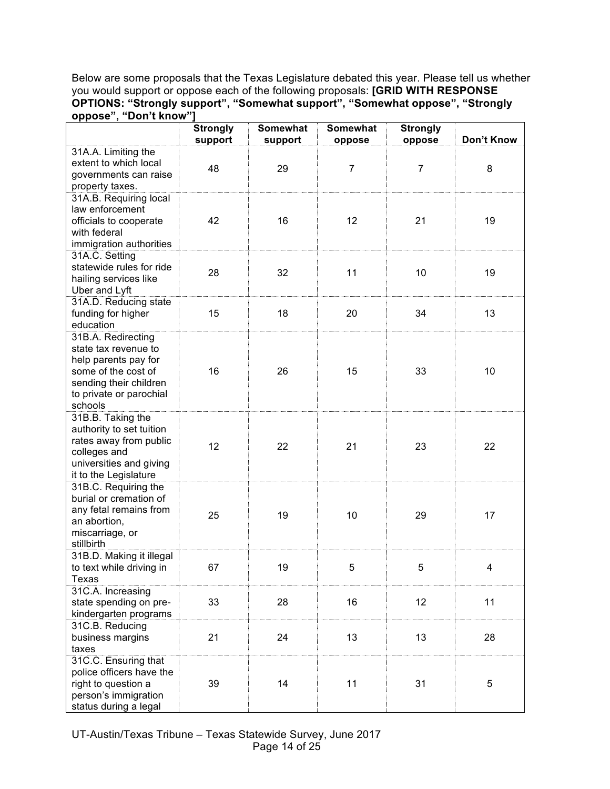Below are some proposals that the Texas Legislature debated this year. Please tell us whether you would support or oppose each of the following proposals: **[GRID WITH RESPONSE OPTIONS: "Strongly support", "Somewhat support", "Somewhat oppose", "Strongly oppose", "Don't know"]**

|                                             | <b>Strongly</b><br>support | <b>Somewhat</b><br>support | <b>Somewhat</b><br>oppose | <b>Strongly</b><br>oppose | Don't Know |
|---------------------------------------------|----------------------------|----------------------------|---------------------------|---------------------------|------------|
| 31A.A. Limiting the                         |                            |                            |                           |                           |            |
| extent to which local                       |                            |                            |                           |                           |            |
| governments can raise                       | 48                         | 29                         | $\overline{7}$            | 7                         | 8          |
| property taxes.                             |                            |                            |                           |                           |            |
| 31A.B. Requiring local                      |                            |                            |                           |                           |            |
| law enforcement                             |                            |                            |                           |                           |            |
| officials to cooperate                      | 42                         | 16                         | 12                        | 21                        | 19         |
| with federal                                |                            |                            |                           |                           |            |
| immigration authorities                     |                            |                            |                           |                           |            |
| 31A.C. Setting                              |                            |                            |                           |                           |            |
| statewide rules for ride                    |                            |                            |                           |                           |            |
| hailing services like                       | 28                         | 32                         | 11                        | 10                        | 19         |
| Uber and Lyft                               |                            |                            |                           |                           |            |
| 31A.D. Reducing state                       |                            |                            |                           |                           |            |
| funding for higher                          | 15                         | 18                         | 20                        | 34                        | 13         |
| education                                   |                            |                            |                           |                           |            |
| 31B.A. Redirecting                          |                            |                            |                           |                           |            |
| state tax revenue to                        |                            |                            |                           |                           |            |
| help parents pay for                        |                            |                            |                           |                           |            |
| some of the cost of                         | 16                         | 26                         | 15                        | 33                        | 10         |
| sending their children                      |                            |                            |                           |                           |            |
| to private or parochial                     |                            |                            |                           |                           |            |
| schools                                     |                            |                            |                           |                           |            |
| 31B.B. Taking the                           |                            |                            |                           |                           |            |
| authority to set tuition                    |                            |                            |                           |                           |            |
| rates away from public                      | 12                         | 22                         | 21                        | 23                        | 22         |
| colleges and                                |                            |                            |                           |                           |            |
| universities and giving                     |                            |                            |                           |                           |            |
| it to the Legislature                       |                            |                            |                           |                           |            |
| 31B.C. Requiring the                        |                            |                            |                           |                           |            |
| burial or cremation of                      |                            |                            |                           |                           |            |
| any fetal remains from                      | 25                         | 19                         | 10                        | 29                        | 17         |
| an abortion,                                |                            |                            |                           |                           |            |
| miscarriage, or                             |                            |                            |                           |                           |            |
| stillbirth                                  |                            |                            |                           |                           |            |
| 31B.D. Making it illegal                    |                            | 19                         | 5                         |                           |            |
| to text while driving in<br>Texas           | 67                         |                            |                           | 5                         | 4          |
|                                             |                            |                            |                           |                           |            |
| 31C.A. Increasing<br>state spending on pre- | 33                         | 28                         | 16                        | 12                        | 11         |
| kindergarten programs                       |                            |                            |                           |                           |            |
| 31C.B. Reducing                             |                            |                            |                           |                           |            |
| business margins                            | 21                         | 24                         | 13                        | 13                        | 28         |
| taxes                                       |                            |                            |                           |                           |            |
| 31C.C. Ensuring that                        |                            |                            |                           |                           |            |
| police officers have the                    |                            |                            |                           |                           |            |
| right to question a                         | 39                         | 14                         | 11                        | 31                        | 5          |
| person's immigration                        |                            |                            |                           |                           |            |
| status during a legal                       |                            |                            |                           |                           |            |

UT-Austin/Texas Tribune – Texas Statewide Survey, June 2017 Page 14 of 25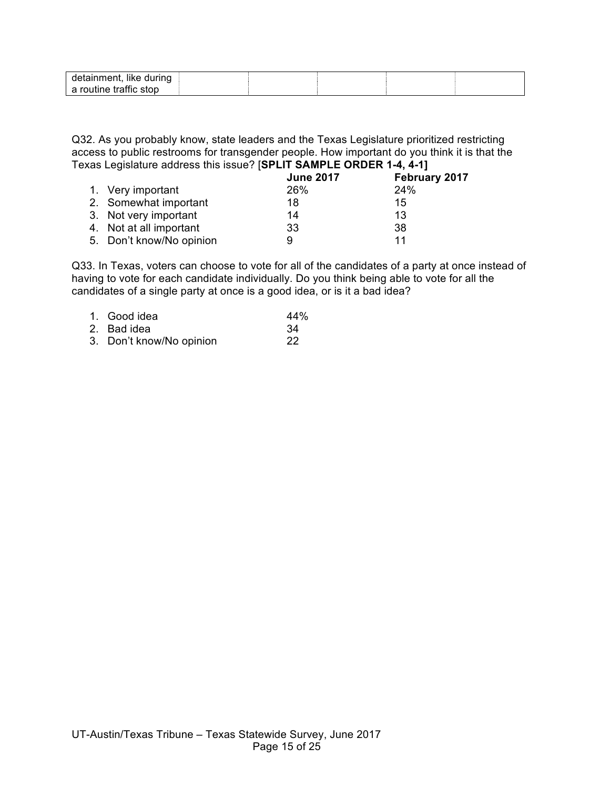| detainment, like during |  |  |  |
|-------------------------|--|--|--|
| a routine traffic stop  |  |  |  |

Q32. As you probably know, state leaders and the Texas Legislature prioritized restricting access to public restrooms for transgender people. How important do you think it is that the Texas Legislature address this issue? [**SPLIT SAMPLE ORDER 1-4, 4-1]**

|                          | <b>June 2017</b> | February 2017 |
|--------------------------|------------------|---------------|
| 1. Very important        | 26%              | 24%           |
| 2. Somewhat important    | 18               | 15            |
| 3. Not very important    | 14               | 13            |
| 4. Not at all important  | 33               | 38            |
| 5. Don't know/No opinion | 9                | 11            |

Q33. In Texas, voters can choose to vote for all of the candidates of a party at once instead of having to vote for each candidate individually. Do you think being able to vote for all the candidates of a single party at once is a good idea, or is it a bad idea?

| 1. Good idea             | 44% |
|--------------------------|-----|
| 2. Bad idea              | -34 |
| 3. Don't know/No opinion | 22  |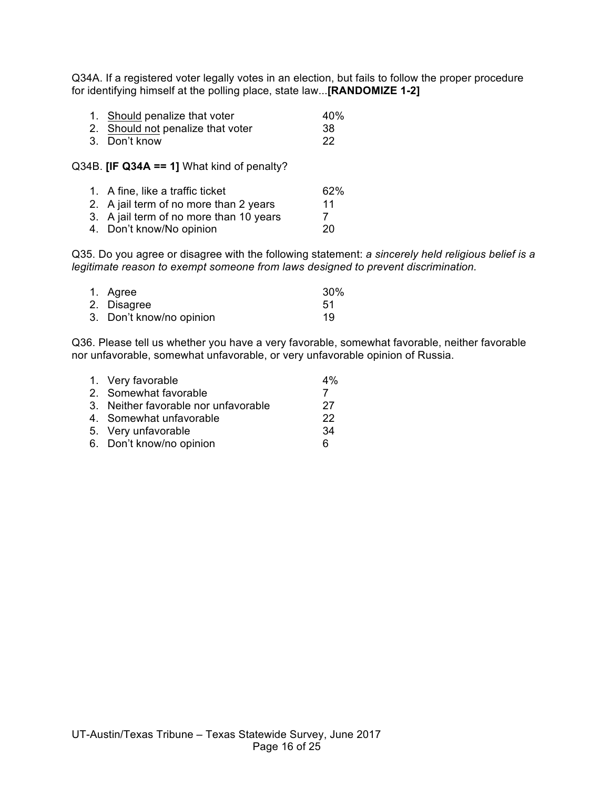Q34A. If a registered voter legally votes in an election, but fails to follow the proper procedure for identifying himself at the polling place, state law...**[RANDOMIZE 1-2]**

| 1. Should penalize that voter     | 40% |
|-----------------------------------|-----|
| 2. Should not penalize that voter | 38  |

3. Don't know 22

Q34B. **[IF Q34A == 1]** What kind of penalty?

| 1. A fine, like a traffic ticket        | 62% |
|-----------------------------------------|-----|
| 2. A jail term of no more than 2 years  | 11  |
| 3. A jail term of no more than 10 years |     |
| 4. Don't know/No opinion                | 20  |

Q35. Do you agree or disagree with the following statement: *a sincerely held religious belief is a legitimate reason to exempt someone from laws designed to prevent discrimination.*

| 1. Agree                 | 30% |
|--------------------------|-----|
| 2. Disagree              | .51 |
| 3. Don't know/no opinion | 19  |

Q36. Please tell us whether you have a very favorable, somewhat favorable, neither favorable nor unfavorable, somewhat unfavorable, or very unfavorable opinion of Russia.

| 1. Very favorable                    | $4\%$ |
|--------------------------------------|-------|
| 2. Somewhat favorable                |       |
| 3. Neither favorable nor unfavorable | 27    |
| 4. Somewhat unfavorable              | 22    |
| 5. Very unfavorable                  | 34    |
| 6. Don't know/no opinion             | 6     |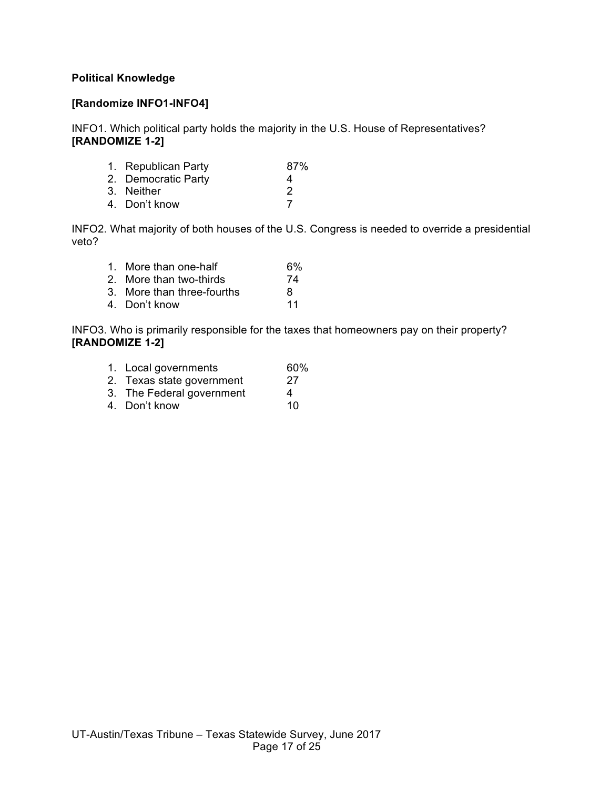#### **Political Knowledge**

#### **[Randomize INFO1-INFO4]**

INFO1. Which political party holds the majority in the U.S. House of Representatives? **[RANDOMIZE 1-2]**

| 1. Republican Party | 87%           |
|---------------------|---------------|
| 2. Democratic Party | 4             |
| 3. Neither          | $\mathcal{P}$ |
| 4. Don't know       |               |
|                     |               |

INFO2. What majority of both houses of the U.S. Congress is needed to override a presidential veto?

| 1. More than one-half      | 6% |
|----------------------------|----|
| 2. More than two-thirds    | 74 |
| 3. More than three-fourths | 8  |
| 4. Don't know              | 11 |

INFO3. Who is primarily responsible for the taxes that homeowners pay on their property? **[RANDOMIZE 1-2]**

- 1. Local governments 60%<br>2. Texas state government 27
- 2. Texas state government
- 3. The Federal government 4
- 4. Don't know 10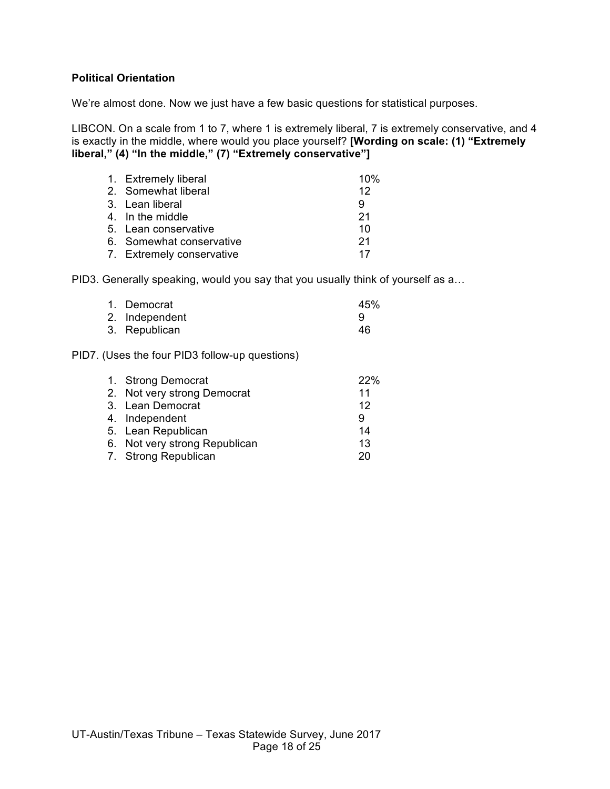#### **Political Orientation**

We're almost done. Now we just have a few basic questions for statistical purposes.

LIBCON. On a scale from 1 to 7, where 1 is extremely liberal, 7 is extremely conservative, and 4 is exactly in the middle, where would you place yourself? **[Wording on scale: (1) "Extremely liberal," (4) "In the middle," (7) "Extremely conservative"]**

| 1. Extremely liberal      | 10% |
|---------------------------|-----|
| 2. Somewhat liberal       | 12  |
| 3. Lean liberal           | 9   |
| 4. In the middle          | 21  |
| 5. Lean conservative      | 10  |
| 6. Somewhat conservative  | 21  |
| 7. Extremely conservative | 17  |

PID3. Generally speaking, would you say that you usually think of yourself as a…

| 1. Democrat    | 45% |
|----------------|-----|
| 2. Independent |     |
| 3. Republican  | 46  |

#### PID7. (Uses the four PID3 follow-up questions)

| 1. Strong Democrat            | <b>22%</b> |
|-------------------------------|------------|
| 2. Not very strong Democrat   | 11         |
| 3. Lean Democrat              | 12         |
| 4. Independent                | 9          |
| 5. Lean Republican            | 14         |
| 6. Not very strong Republican | 13         |
| 7. Strong Republican          | 20         |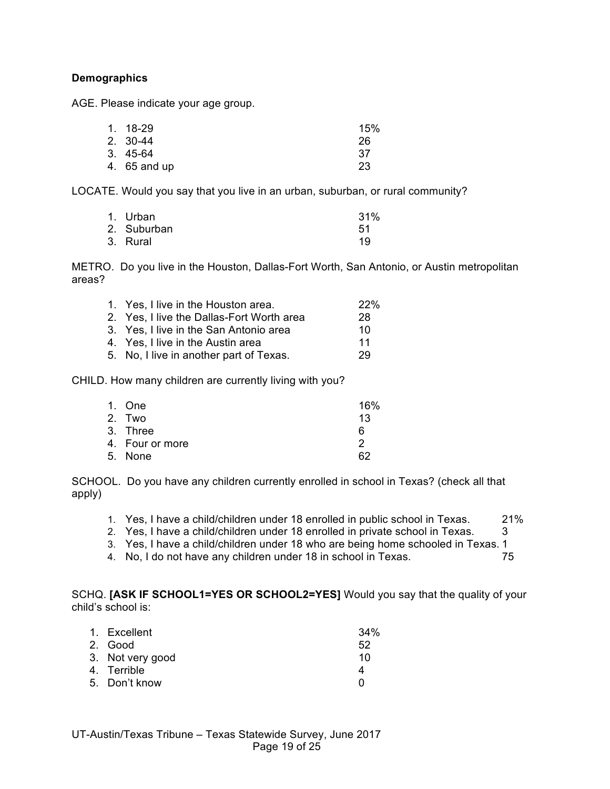### **Demographics**

AGE. Please indicate your age group.

| 1. 18-29     | 15% |
|--------------|-----|
| 2. 30-44     | 26  |
| $3.45-64$    | -37 |
| 4. 65 and up | 23  |

LOCATE. Would you say that you live in an urban, suburban, or rural community?

| 1. Urban    | 31% |
|-------------|-----|
| 2. Suburban | -51 |
| 3. Rural    | 19  |

METRO. Do you live in the Houston, Dallas-Fort Worth, San Antonio, or Austin metropolitan areas?

| 1. Yes, I live in the Houston area.       | <b>22%</b> |
|-------------------------------------------|------------|
| 2. Yes, I live the Dallas-Fort Worth area | 28         |
| 3. Yes, I live in the San Antonio area    | 10         |
| 4. Yes, I live in the Austin area         | 11         |
| 5. No, I live in another part of Texas.   | 29         |
|                                           |            |

CHILD. How many children are currently living with you?

| 1. One          | 16% |
|-----------------|-----|
| 2. Two          | 13  |
| 3. Three        | 6   |
| 4. Four or more | 2   |
| 5. None         | 62  |
|                 |     |

SCHOOL. Do you have any children currently enrolled in school in Texas? (check all that apply)

- 1. Yes, I have a child/children under 18 enrolled in public school in Texas. 21%
- 2. Yes, I have a child/children under 18 enrolled in private school in Texas. 3
- 3. Yes, I have a child/children under 18 who are being home schooled in Texas. 1
- 4. No, I do not have any children under 18 in school in Texas. 75

SCHQ. **[ASK IF SCHOOL1=YES OR SCHOOL2=YES]** Would you say that the quality of your child's school is:

| 1. Excellent     | $34\%$ |
|------------------|--------|
| 2. Good          | 52     |
| 3. Not very good | 10     |
| 4. Terrible      | 4      |
| 5. Don't know    | n      |
|                  |        |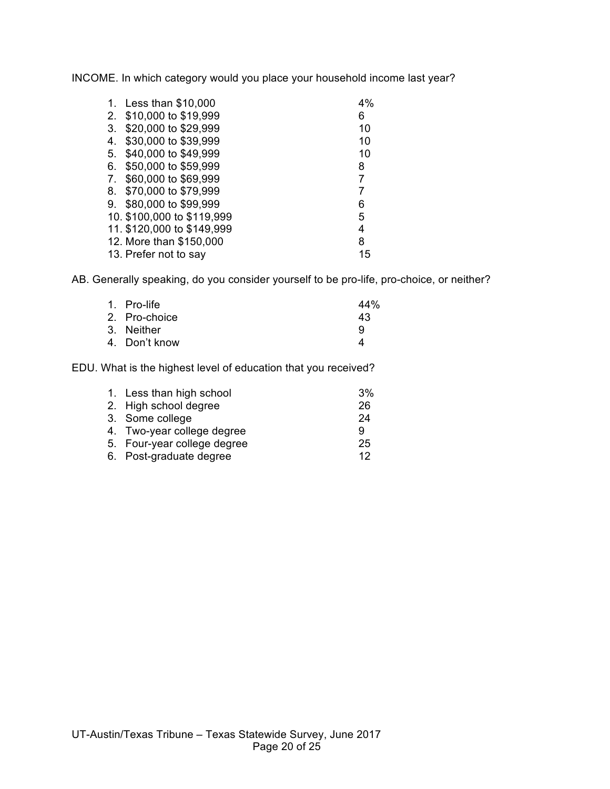INCOME. In which category would you place your household income last year?

| 1. | Less than \$10,000         | 4% |
|----|----------------------------|----|
| 2. | \$10,000 to \$19,999       | 6  |
| 3. | \$20,000 to \$29,999       | 10 |
| 4. | \$30,000 to \$39,999       | 10 |
| 5. | \$40,000 to \$49,999       | 10 |
| 6. | \$50,000 to \$59,999       | 8  |
| 7. | \$60,000 to \$69,999       | 7  |
| 8. | \$70,000 to \$79,999       | 7  |
| 9. | \$80,000 to \$99,999       | 6  |
|    | 10. \$100,000 to \$119,999 | 5  |
|    | 11. \$120,000 to \$149,999 | 4  |
|    | 12. More than \$150,000    | 8  |
|    | 13. Prefer not to say      | 15 |
|    |                            |    |

AB. Generally speaking, do you consider yourself to be pro-life, pro-choice, or neither?

| 44% |
|-----|
| 43  |
| 9   |
| Δ   |
|     |

EDU. What is the highest level of education that you received?

| 1. Less than high school    | 3% |
|-----------------------------|----|
| 2. High school degree       | 26 |
| 3. Some college             | 24 |
| 4. Two-year college degree  | 9  |
| 5. Four-year college degree | 25 |
| 6. Post-graduate degree     | 12 |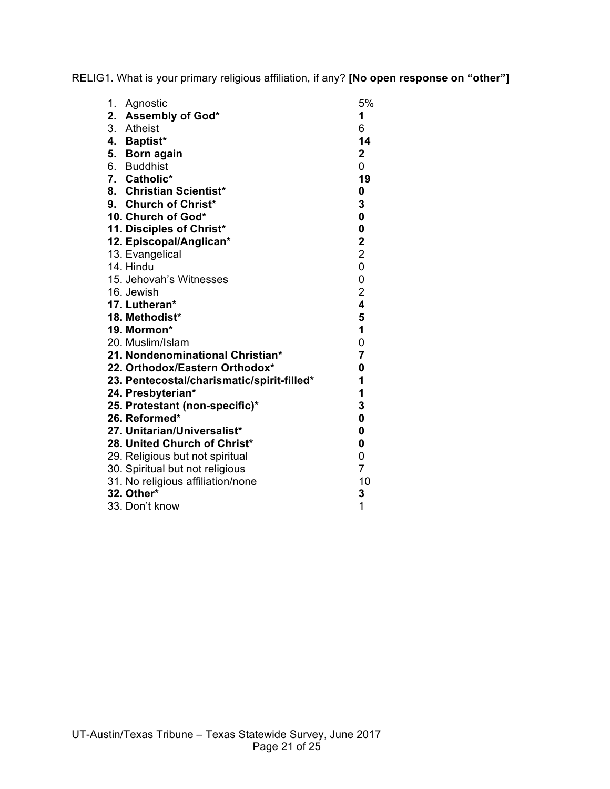RELIG1. What is your primary religious affiliation, if any? **[No open response on "other"]**

| 1.<br>Agnostic                             | 5%                      |
|--------------------------------------------|-------------------------|
| 2. Assembly of God*                        | 1                       |
| 3. Atheist                                 | 6                       |
| 4. Baptist*                                | 14                      |
| 5. Born again                              | $\mathbf 2$             |
| 6. Buddhist                                | 0                       |
| 7. Catholic*                               | 19                      |
| 8. Christian Scientist*                    | 0                       |
| 9. Church of Christ*                       | 3                       |
| 10. Church of God*                         | $\mathbf 0$             |
| 11. Disciples of Christ*                   | $\pmb{0}$               |
| 12. Episcopal/Anglican*                    | $\mathbf 2$             |
| 13. Evangelical                            | $\overline{2}$          |
| 14. Hindu                                  | $\overline{0}$          |
| 15. Jehovah's Witnesses                    | 0                       |
| 16. Jewish                                 | $\overline{\mathbf{c}}$ |
| 17. Lutheran*                              | $\overline{\mathbf{4}}$ |
| 18. Methodist*                             | 5                       |
| 19. Mormon*                                | $\mathbf{1}$            |
| 20. Muslim/Islam                           | 0                       |
| 21. Nondenominational Christian*           | $\overline{7}$          |
| 22. Orthodox/Eastern Orthodox*             | 0                       |
| 23. Pentecostal/charismatic/spirit-filled* | 1                       |
| 24. Presbyterian*                          | 1                       |
| 25. Protestant (non-specific)*             | 3                       |
| 26. Reformed*                              | $\pmb{0}$               |
| 27. Unitarian/Universalist*                | 0                       |
| 28. United Church of Christ*               | 0                       |
| 29. Religious but not spiritual            | 0                       |
| 30. Spiritual but not religious            | $\overline{7}$          |
| 31. No religious affiliation/none          | 10                      |
| 32. Other*                                 | 3                       |
| 33. Don't know                             | 1                       |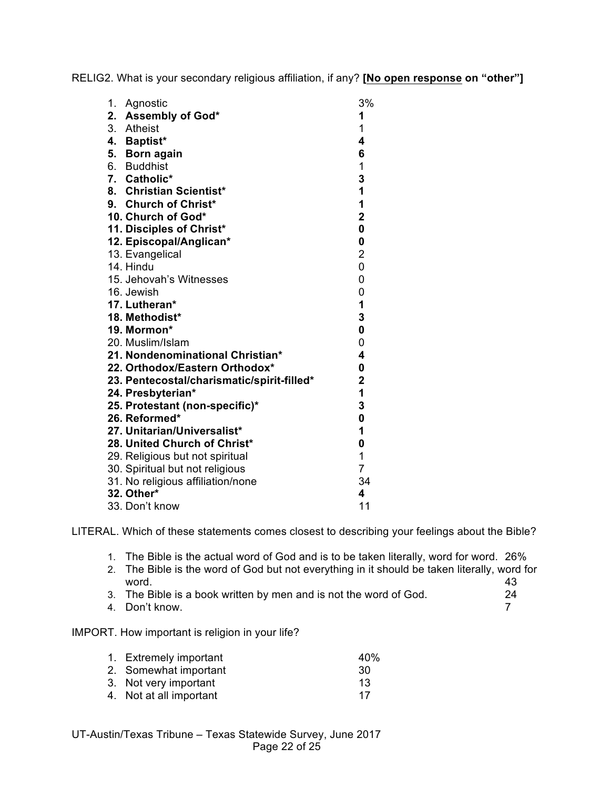RELIG2. What is your secondary religious affiliation, if any? **[No open response on "other"]**

| 1. | Agnostic                                   | 3%                      |
|----|--------------------------------------------|-------------------------|
|    | 2. Assembly of God*                        | 1                       |
|    | 3. Atheist                                 | 1                       |
|    | 4. Baptist*                                | 4                       |
|    | 5. Born again                              | 6                       |
|    | 6. Buddhist                                | 1                       |
|    | 7. Catholic*                               | 3                       |
|    | 8. Christian Scientist*                    | 1                       |
|    | 9. Church of Christ*                       | $\overline{1}$          |
|    | 10. Church of God*                         | $\overline{2}$          |
|    | 11. Disciples of Christ*                   | $\mathbf 0$             |
|    | 12. Episcopal/Anglican*                    | $\mathbf 0$             |
|    | 13. Evangelical                            | $\overline{\mathbf{c}}$ |
|    | 14. Hindu                                  | 0                       |
|    | 15. Jehovah's Witnesses                    | 0                       |
|    | 16. Jewish                                 | 0                       |
|    | 17. Lutheran*                              | 1                       |
|    | 18. Methodist*                             | 3                       |
|    | 19. Mormon*                                | $\mathbf{0}$            |
|    | 20. Muslim/Islam                           | 0                       |
|    | 21. Nondenominational Christian*           | 4                       |
|    | 22. Orthodox/Eastern Orthodox*             | $\mathbf{0}$            |
|    | 23. Pentecostal/charismatic/spirit-filled* | $\overline{\mathbf{2}}$ |
|    | 24. Presbyterian*                          | 1                       |
|    | 25. Protestant (non-specific)*             | 3                       |
|    | 26. Reformed*                              | $\mathbf{0}$            |
|    | 27. Unitarian/Universalist*                | 1                       |
|    | 28. United Church of Christ*               | $\mathbf 0$             |
|    | 29. Religious but not spiritual            | 1                       |
|    | 30. Spiritual but not religious            | $\overline{7}$          |
|    | 31. No religious affiliation/none          | 34                      |
|    | 32. Other*                                 | 4                       |
|    | 33. Don't know                             | 11                      |

LITERAL. Which of these statements comes closest to describing your feelings about the Bible?

- 1. The Bible is the actual word of God and is to be taken literally, word for word. 26%
- 2. The Bible is the word of God but not everything in it should be taken literally, word for word. 43
- 3. The Bible is a book written by men and is not the word of God. 24
- 4. Don't know. 7

### IMPORT. How important is religion in your life?

| 1. Extremely important  | 40% |
|-------------------------|-----|
| 2. Somewhat important   | 30  |
| 3. Not very important   | 13  |
| 4. Not at all important | 17  |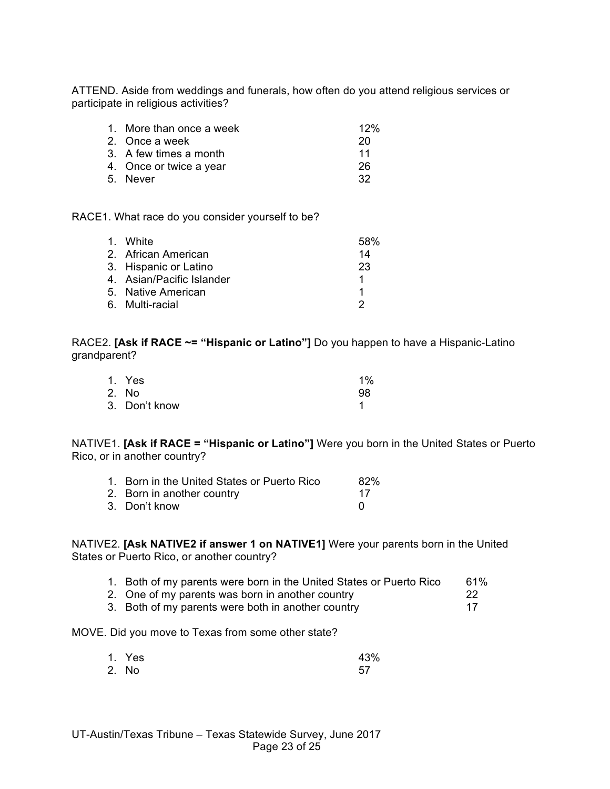ATTEND. Aside from weddings and funerals, how often do you attend religious services or participate in religious activities?

| 1. More than once a week | 12% |
|--------------------------|-----|
| 2. Once a week           | 20  |
| 3. A few times a month   | 11  |
| 4. Once or twice a year  | 26  |
| 5. Never                 | 32  |
|                          |     |

RACE1. What race do you consider yourself to be?

| 1. White                  | .58% |
|---------------------------|------|
| 2. African American       | 14   |
| 3. Hispanic or Latino     | 23   |
| 4. Asian/Pacific Islander | 1    |
| 5. Native American        |      |
| 6. Multi-racial           |      |

RACE2. **[Ask if RACE ~= "Hispanic or Latino"]** Do you happen to have a Hispanic-Latino grandparent?

| 1. Yes        | $1\%$ |
|---------------|-------|
| 2. No         | 98    |
| 3. Don't know |       |

NATIVE1. **[Ask if RACE = "Hispanic or Latino"]** Were you born in the United States or Puerto Rico, or in another country?

| 1. Born in the United States or Puerto Rico | 82% |
|---------------------------------------------|-----|
| 2. Born in another country                  | 17  |
| 3. Don't know                               |     |

NATIVE2. **[Ask NATIVE2 if answer 1 on NATIVE1]** Were your parents born in the United States or Puerto Rico, or another country?

|  |  |  |  |  |  | 1. Both of my parents were born in the United States or Puerto Rico |  | 61% |
|--|--|--|--|--|--|---------------------------------------------------------------------|--|-----|
|--|--|--|--|--|--|---------------------------------------------------------------------|--|-----|

| 2. One of my parents was born in another country   |  |
|----------------------------------------------------|--|
| 3. Both of my parents were both in another country |  |

MOVE. Did you move to Texas from some other state?

| 1. Yes | 43% |
|--------|-----|
| 2. No  | 57  |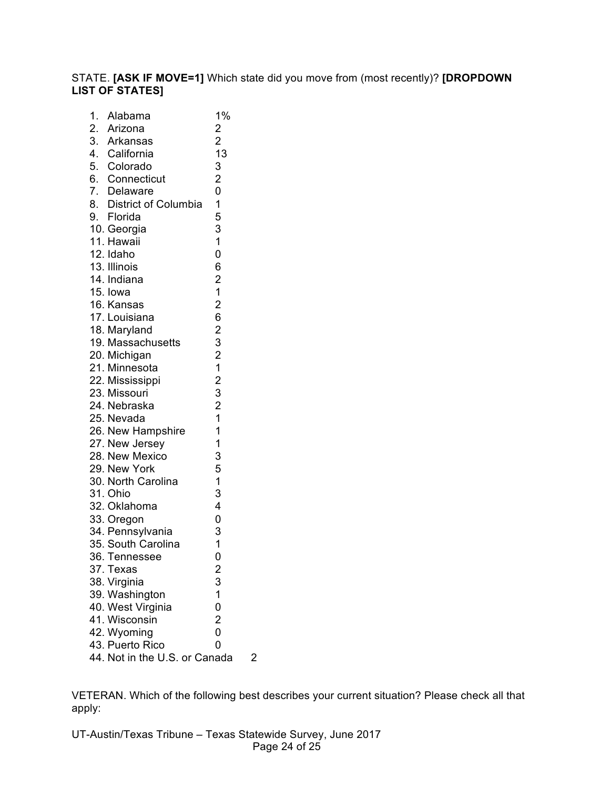# STATE. **[ASK IF MOVE=1]** Which state did you move from (most recently)? **[DROPDOWN LIST OF STATES]**

| $\overline{1}$ . | Alabama                       | 1%                                                |   |
|------------------|-------------------------------|---------------------------------------------------|---|
|                  | 2. Arizona                    |                                                   |   |
|                  | 3. Arkansas                   | $\frac{2}{2}$                                     |   |
|                  | 4. California                 | 13                                                |   |
|                  | 5. Colorado                   | 3                                                 |   |
|                  | 6. Connecticut                | $\frac{2}{0}$                                     |   |
|                  | 7. Delaware                   |                                                   |   |
|                  | 8. District of Columbia       |                                                   |   |
|                  | 9. Florida                    |                                                   |   |
|                  | 10. Georgia                   | $\begin{array}{c} 1 \\ 5 \\ 3 \\ 1 \end{array}$   |   |
|                  | 11. Hawaii                    |                                                   |   |
|                  | 12. Idaho                     | $\overline{0}$                                    |   |
|                  | 13. Illinois                  | 6                                                 |   |
|                  | 14. Indiana                   | $\begin{array}{c} 2 \\ 1 \end{array}$             |   |
|                  | 15. Iowa                      |                                                   |   |
|                  | 16. Kansas                    | $\frac{2}{6}$                                     |   |
|                  | 17. Louisiana                 |                                                   |   |
|                  | 18. Maryland                  |                                                   |   |
|                  | 19. Massachusetts             |                                                   |   |
|                  | 20. Michigan                  | 23212321                                          |   |
|                  | 21. Minnesota                 |                                                   |   |
|                  | 22. Mississippi               |                                                   |   |
|                  | 23. Missouri                  |                                                   |   |
|                  | 24. Nebraska                  |                                                   |   |
|                  | 25. Nevada                    |                                                   |   |
|                  | 26. New Hampshire             | $\overline{1}$                                    |   |
|                  | 27. New Jersey                | $\overline{1}$                                    |   |
|                  | 28. New Mexico                | 3                                                 |   |
|                  | 29. New York                  | 5                                                 |   |
|                  | 30. North Carolina            | $\mathbf{1}$                                      |   |
|                  | 31. Ohio                      | 3                                                 |   |
|                  | 32. Oklahoma                  | $\overline{\mathbf{4}}$                           |   |
|                  | 33. Oregon                    | 0                                                 |   |
|                  | 34. Pennsylvania              | 3                                                 |   |
|                  | 35. South Carolina            | $\overline{1}$                                    |   |
|                  | 36. Tennessee                 | 0                                                 |   |
|                  | 37. Texas                     |                                                   |   |
|                  | 38. Virginia                  |                                                   |   |
|                  | 39. Washington                |                                                   |   |
|                  | 40. West Virginia             | $\begin{array}{c}\n2 \\ 3 \\ 1 \\ 0\n\end{array}$ |   |
|                  | 41. Wisconsin                 | $\overline{\mathbf{c}}$                           |   |
|                  | 42. Wyoming                   | $\overline{0}$                                    |   |
|                  | 43. Puerto Rico               | 0                                                 |   |
|                  | 44. Not in the U.S. or Canada |                                                   | 2 |
|                  |                               |                                                   |   |

VETERAN. Which of the following best describes your current situation? Please check all that apply: